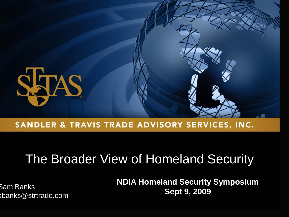

#### SANDLER & TRAVIS TRADE ADVISORY SERVICES, INC.

## The Broader View of Homeland Security

sbanks@strtrade.com

**NDIA Homeland Security Symposium Sept 9, 2009** Sam Banks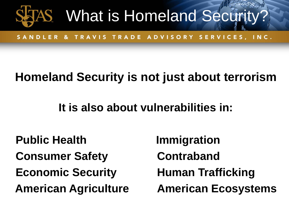

SANDLER & TRAVIS TRADE ADVISORY SERVICES, INC.

### **Homeland Security is not just about terrorism**

### **It is also about vulnerabilities in:**

**Public Health Immigration Consumer Safety <b>Contraband Economic Security Human Trafficking**

**American Agriculture American Ecosystems**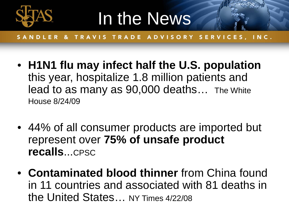

# In the News

- **H1N1 flu may infect half the U.S. population** this year, hospitalize 1.8 million patients and lead to as many as 90,000 deaths… The White House 8/24/09
- 44% of all consumer products are imported but represent over **75% of unsafe product recalls**...CPSC
- **Contaminated blood thinner** from China found in 11 countries and associated with 81 deaths in the United States… NY Times 4/22/08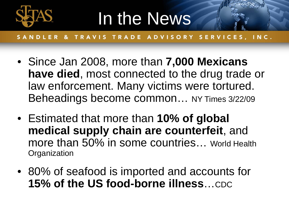

# In the News

- Since Jan 2008, more than **7,000 Mexicans have died**, most connected to the drug trade or law enforcement. Many victims were tortured. Beheadings become common… NY Times 3/22/09
- Estimated that more than **10% of global medical supply chain are counterfeit**, and more than 50% in some countries... World Health **Organization**
- 80% of seafood is imported and accounts for 15% of the US food-borne illness...CDC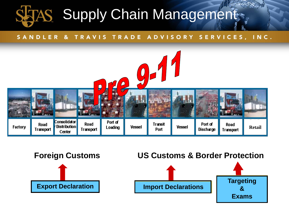## **Supply Chain Management**



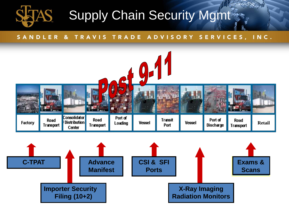

## Supply Chain Security Mgmt

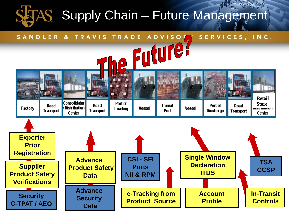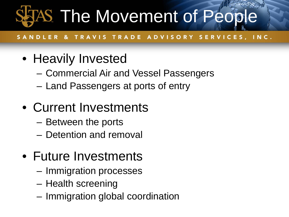# **STAS The Movement of People**

#### DLER & TRAVIS TRADE ADVISORY SERVICES, INC.

## • Heavily Invested

- Commercial Air and Vessel Passengers
- Land Passengers at ports of entry

## • Current Investments

- Between the ports
- Detention and removal
- Future Investments
	- Immigration processes
	- Health screening
	- Immigration global coordination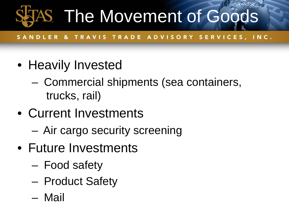# AS The Movement of Goods

- Heavily Invested
	- Commercial shipments (sea containers, trucks, rail)
- Current Investments
	- Air cargo security screening
- Future Investments
	- Food safety
	- Product Safety
	- Mail